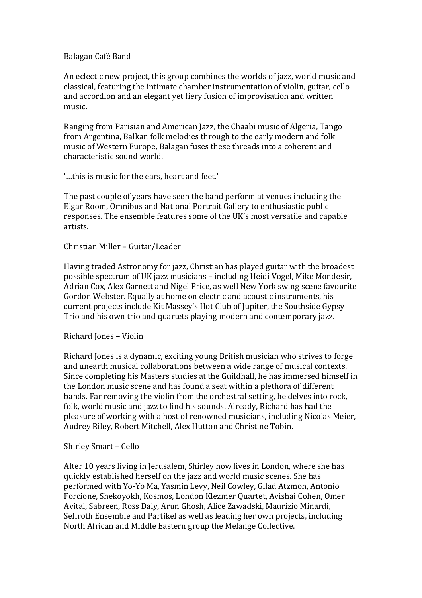## Balagan Café Band

An eclectic new project, this group combines the worlds of jazz, world music and classical, featuring the intimate chamber instrumentation of violin, guitar, cello and accordion and an elegant yet fiery fusion of improvisation and written music.

Ranging from Parisian and American Jazz, the Chaabi music of Algeria, Tango from Argentina, Balkan folk melodies through to the early modern and folk music of Western Europe, Balagan fuses these threads into a coherent and characteristic sound world.

'...this is music for the ears, heart and feet.'

The past couple of years have seen the band perform at venues including the Elgar Room, Omnibus and National Portrait Gallery to enthusiastic public responses. The ensemble features some of the UK's most versatile and capable artists.

Christian Miller – Guitar/Leader

Having traded Astronomy for jazz, Christian has played guitar with the broadest possible spectrum of UK jazz musicians – including Heidi Vogel, Mike Mondesir, Adrian Cox, Alex Garnett and Nigel Price, as well New York swing scene favourite Gordon Webster. Equally at home on electric and acoustic instruments, his current projects include Kit Massey's Hot Club of Jupiter, the Southside Gypsy Trio and his own trio and quartets playing modern and contemporary jazz.

Richard Jones – Violin

Richard Jones is a dynamic, exciting young British musician who strives to forge and unearth musical collaborations between a wide range of musical contexts. Since completing his Masters studies at the Guildhall, he has immersed himself in the London music scene and has found a seat within a plethora of different bands. Far removing the violin from the orchestral setting, he delves into rock, folk, world music and jazz to find his sounds. Already, Richard has had the pleasure of working with a host of renowned musicians, including Nicolas Meier, Audrey Riley, Robert Mitchell, Alex Hutton and Christine Tobin.

Shirley Smart - Cello

After 10 years living in Jerusalem, Shirley now lives in London, where she has quickly established herself on the jazz and world music scenes. She has performed with Yo-Yo Ma, Yasmin Levy, Neil Cowley, Gilad Atzmon, Antonio Forcione, Shekoyokh, Kosmos, London Klezmer Quartet, Avishai Cohen, Omer Avital, Sabreen, Ross Daly, Arun Ghosh, Alice Zawadski, Maurizio Minardi, Sefiroth Ensemble and Partikel as well as leading her own projects, including North African and Middle Eastern group the Melange Collective.